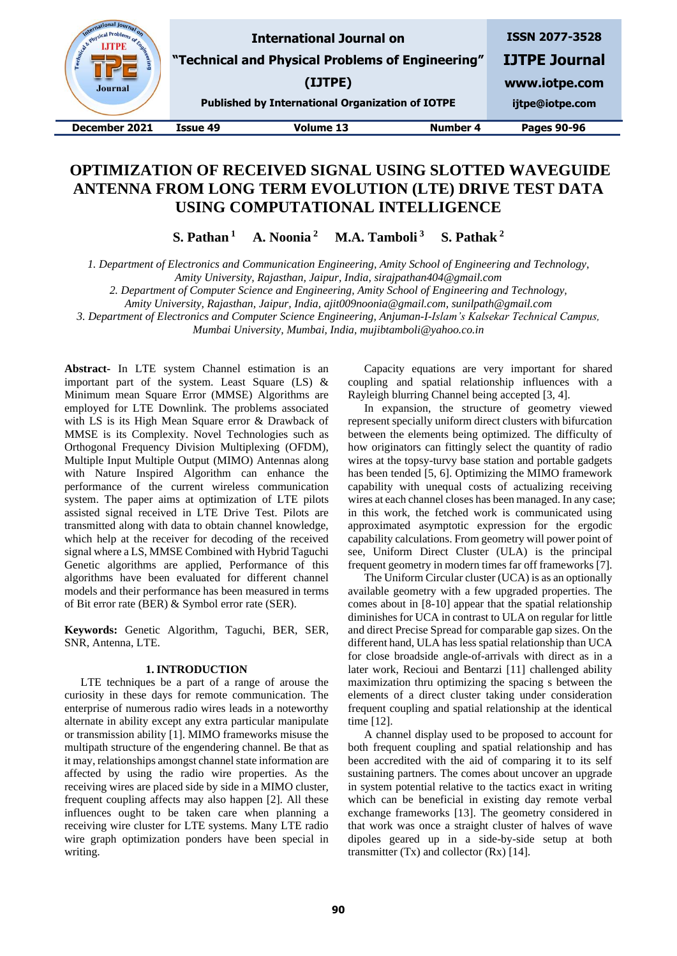

# **OPTIMIZATION OF RECEIVED SIGNAL USING SLOTTED WAVEGUIDE ANTENNA FROM LONG TERM EVOLUTION (LTE) DRIVE TEST DATA USING COMPUTATIONAL INTELLIGENCE**

**S. Pathan <sup>1</sup> A. Noonia <sup>2</sup> M.A. Tamboli <sup>3</sup> S. Pathak <sup>2</sup>**

*1. Department of Electronics and Communication Engineering, Amity School of Engineering and Technology,*

*Amity University, Rajasthan, Jaipur, India, sirajpathan404@gmail.com*

*2. Department of Computer Science and Engineering, Amity School of Engineering and Technology,*

*Amity University, Rajasthan, Jaipur, India, ajit009noonia@gmail.com, sunilpath@gmail.com*

*3. Department of Electronics and Computer Science Engineering, Anjuman-I-Islam's Kalsekar Technical Campus,* 

*Mumbai University, Mumbai, India, mujibtamboli@yahoo.co.in*

**Abstract-** In LTE system Channel estimation is an important part of the system. Least Square (LS) & Minimum mean Square Error (MMSE) Algorithms are employed for LTE Downlink. The problems associated with LS is its High Mean Square error & Drawback of MMSE is its Complexity. Novel Technologies such as Orthogonal Frequency Division Multiplexing (OFDM), Multiple Input Multiple Output (MIMO) Antennas along with Nature Inspired Algorithm can enhance the performance of the current wireless communication system. The paper aims at optimization of LTE pilots assisted signal received in LTE Drive Test. Pilots are transmitted along with data to obtain channel knowledge, which help at the receiver for decoding of the received signal where a LS, MMSE Combined with Hybrid Taguchi Genetic algorithms are applied, Performance of this algorithms have been evaluated for different channel models and their performance has been measured in terms of Bit error rate (BER) & Symbol error rate (SER).

**Keywords:** Genetic Algorithm, Taguchi, BER, SER, SNR, Antenna, LTE.

#### **1. INTRODUCTION**

LTE techniques be a part of a range of arouse the curiosity in these days for remote communication. The enterprise of numerous radio wires leads in a noteworthy alternate in ability except any extra particular manipulate or transmission ability [1]. MIMO frameworks misuse the multipath structure of the engendering channel. Be that as it may, relationships amongst channel state information are affected by using the radio wire properties. As the receiving wires are placed side by side in a MIMO cluster, frequent coupling affects may also happen [2]. All these influences ought to be taken care when planning a receiving wire cluster for LTE systems. Many LTE radio wire graph optimization ponders have been special in writing.

Capacity equations are very important for shared coupling and spatial relationship influences with a Rayleigh blurring Channel being accepted [3, 4].

In expansion, the structure of geometry viewed represent specially uniform direct clusters with bifurcation between the elements being optimized. The difficulty of how originators can fittingly select the quantity of radio wires at the topsy-turvy base station and portable gadgets has been tended [5, 6]. Optimizing the MIMO framework capability with unequal costs of actualizing receiving wires at each channel closes has been managed. In any case; in this work, the fetched work is communicated using approximated asymptotic expression for the ergodic capability calculations. From geometry will power point of see, Uniform Direct Cluster (ULA) is the principal frequent geometry in modern times far off frameworks [7].

The Uniform Circular cluster (UCA) is as an optionally available geometry with a few upgraded properties. The comes about in [8-10] appear that the spatial relationship diminishes for UCA in contrast to ULA on regular for little and direct Precise Spread for comparable gap sizes. On the different hand, ULA has less spatial relationship than UCA for close broadside angle-of-arrivals with direct as in a later work, Recioui and Bentarzi [11] challenged ability maximization thru optimizing the spacing s between the elements of a direct cluster taking under consideration frequent coupling and spatial relationship at the identical time [12].

A channel display used to be proposed to account for both frequent coupling and spatial relationship and has been accredited with the aid of comparing it to its self sustaining partners. The comes about uncover an upgrade in system potential relative to the tactics exact in writing which can be beneficial in existing day remote verbal exchange frameworks [13]. The geometry considered in that work was once a straight cluster of halves of wave dipoles geared up in a side-by-side setup at both transmitter (Tx) and collector (Rx) [14].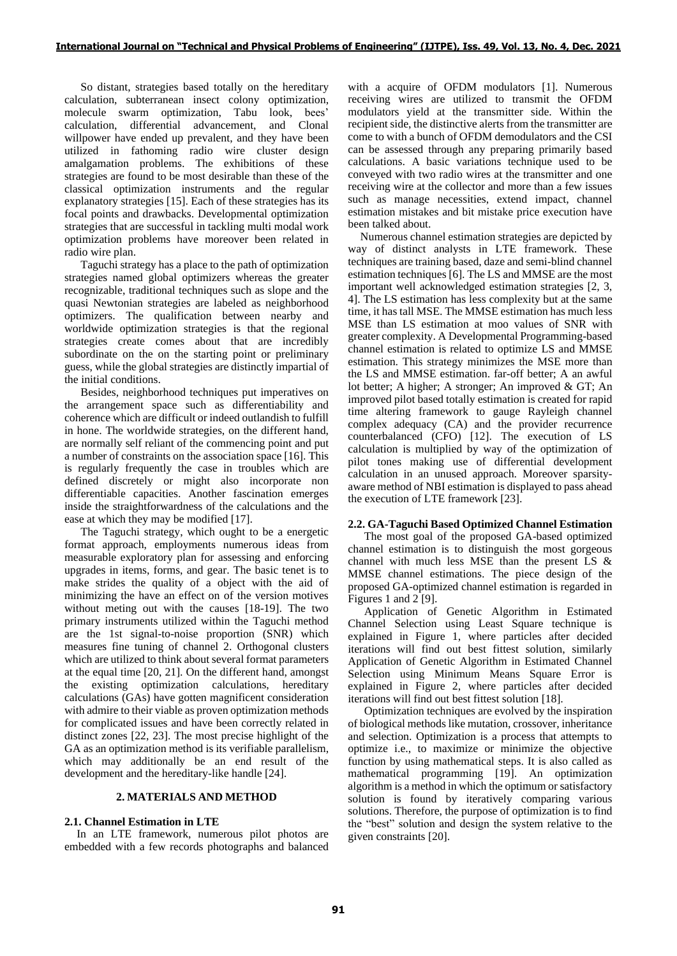So distant, strategies based totally on the hereditary calculation, subterranean insect colony optimization, molecule swarm optimization, Tabu look, bees' calculation, differential advancement, and Clonal willpower have ended up prevalent, and they have been utilized in fathoming radio wire cluster design amalgamation problems. The exhibitions of these strategies are found to be most desirable than these of the classical optimization instruments and the regular explanatory strategies [15]. Each of these strategies has its focal points and drawbacks. Developmental optimization strategies that are successful in tackling multi modal work optimization problems have moreover been related in radio wire plan.

Taguchi strategy has a place to the path of optimization strategies named global optimizers whereas the greater recognizable, traditional techniques such as slope and the quasi Newtonian strategies are labeled as neighborhood optimizers. The qualification between nearby and worldwide optimization strategies is that the regional strategies create comes about that are incredibly subordinate on the on the starting point or preliminary guess, while the global strategies are distinctly impartial of the initial conditions.

Besides, neighborhood techniques put imperatives on the arrangement space such as differentiability and coherence which are difficult or indeed outlandish to fulfill in hone. The worldwide strategies, on the different hand, are normally self reliant of the commencing point and put a number of constraints on the association space [16]. This is regularly frequently the case in troubles which are defined discretely or might also incorporate non differentiable capacities. Another fascination emerges inside the straightforwardness of the calculations and the ease at which they may be modified [17].

The Taguchi strategy, which ought to be a energetic format approach, employments numerous ideas from measurable exploratory plan for assessing and enforcing upgrades in items, forms, and gear. The basic tenet is to make strides the quality of a object with the aid of minimizing the have an effect on of the version motives without meting out with the causes [18-19]. The two primary instruments utilized within the Taguchi method are the 1st signal-to-noise proportion (SNR) which measures fine tuning of channel 2. Orthogonal clusters which are utilized to think about several format parameters at the equal time [20, 21]. On the different hand, amongst the existing optimization calculations, hereditary calculations (GAs) have gotten magnificent consideration with admire to their viable as proven optimization methods for complicated issues and have been correctly related in distinct zones [22, 23]. The most precise highlight of the GA as an optimization method is its verifiable parallelism, which may additionally be an end result of the development and the hereditary-like handle [24].

## **2. MATERIALS AND METHOD**

## **2.1. Channel Estimation in LTE**

In an LTE framework, numerous pilot photos are embedded with a few records photographs and balanced with a acquire of OFDM modulators [1]. Numerous receiving wires are utilized to transmit the OFDM modulators yield at the transmitter side. Within the recipient side, the distinctive alerts from the transmitter are come to with a bunch of OFDM demodulators and the CSI can be assessed through any preparing primarily based calculations. A basic variations technique used to be conveyed with two radio wires at the transmitter and one receiving wire at the collector and more than a few issues such as manage necessities, extend impact, channel estimation mistakes and bit mistake price execution have been talked about.

Numerous channel estimation strategies are depicted by way of distinct analysts in LTE framework. These techniques are training based, daze and semi-blind channel estimation techniques [6]. The LS and MMSE are the most important well acknowledged estimation strategies [2, 3, 4]. The LS estimation has less complexity but at the same time, it has tall MSE. The MMSE estimation has much less MSE than LS estimation at moo values of SNR with greater complexity. A Developmental Programming-based channel estimation is related to optimize LS and MMSE estimation. This strategy minimizes the MSE more than the LS and MMSE estimation. far-off better; A an awful lot better; A higher; A stronger; An improved & GT; An improved pilot based totally estimation is created for rapid time altering framework to gauge Rayleigh channel complex adequacy (CA) and the provider recurrence counterbalanced (CFO) [12]. The execution of LS calculation is multiplied by way of the optimization of pilot tones making use of differential development calculation in an unused approach. Moreover sparsityaware method of NBI estimation is displayed to pass ahead the execution of LTE framework [23].

## **2.2. GA-Taguchi Based Optimized Channel Estimation**

The most goal of the proposed GA-based optimized channel estimation is to distinguish the most gorgeous channel with much less MSE than the present LS & MMSE channel estimations. The piece design of the proposed GA-optimized channel estimation is regarded in Figures 1 and 2 [9].

Application of Genetic Algorithm in Estimated Channel Selection using Least Square technique is explained in Figure 1, where particles after decided iterations will find out best fittest solution, similarly Application of Genetic Algorithm in Estimated Channel Selection using Minimum Means Square Error is explained in Figure 2, where particles after decided iterations will find out best fittest solution [18].

Optimization techniques are evolved by the inspiration of biological methods like mutation, crossover, inheritance and selection. Optimization is a process that attempts to optimize i.e., to maximize or minimize the objective function by using mathematical steps. It is also called as mathematical programming [19]. An optimization algorithm is a method in which the optimum or satisfactory solution is found by iteratively comparing various solutions. Therefore, the purpose of optimization is to find the "best" solution and design the system relative to the given constraints [20].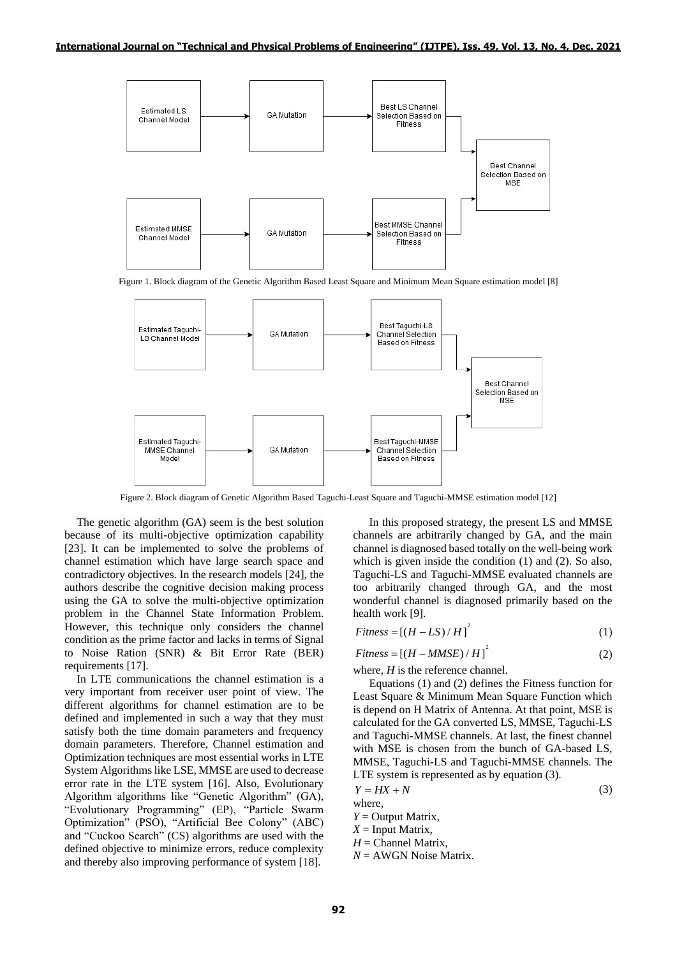

Figure 1. Block diagram of the Genetic Algorithm Based Least Square and Minimum Mean Square estimation model [8]



Figure 2. Block diagram of Genetic Algorithm Based Taguchi-Least Square and Taguchi-MMSE estimation model [12]

The genetic algorithm (GA) seem is the best solution because of its multi-objective optimization capability [23]. It can be implemented to solve the problems of channel estimation which have large search space and contradictory objectives. In the research models [24], the authors describe the cognitive decision making process using the GA to solve the multi-objective optimization problem in the Channel State Information Problem. However, this technique only considers the channel condition as the prime factor and lacks in terms of Signal to Noise Ration (SNR) & Bit Error Rate (BER) requirements [17].

In LTE communications the channel estimation is a very important from receiver user point of view. The different algorithms for channel estimation are to be defined and implemented in such a way that they must satisfy both the time domain parameters and frequency domain parameters. Therefore, Channel estimation and Optimization techniques are most essential works in LTE System Algorithms like LSE, MMSE are used to decrease error rate in the LTE system [16]. Also, Evolutionary Algorithm algorithms like "Gеnetic Algorithm" (GA), "Evolutionary Progrаmming" (EP), "Particle Swarm Optimization" (PSO), "Artificial Bеe Colony" (ABC) and "Cuckoo Search" (CS) algorithms are used with the defined objective to minimize errors, reduce complexity and thereby also improving performance of system [18].

In this proposed strategy, the present LS and MMSE channels are arbitrarily changed by GA, and the main channel is diagnosed based totally on the well-being work which is given inside the condition (1) and (2). So also, Taguchi-LS and Taguchi-MMSE evaluated channels are too arbitrarily changed through GA, and the most wonderful channel is diagnosed primarily based on the health work [9].

$$
Fitness = [(H - LS)/H]^{2}
$$
 (1)

$$
Fitness = [(H - MMSE) / H]^{2}
$$
 (2)

where, *H* is the reference channel.

Equations (1) and (2) defines the Fitness function for Least Square & Minimum Mean Square Function which is depend on H Matrix of Antenna. At that point, MSE is calculated for the GA converted LS, MMSE, Taguchi-LS and Taguchi-MMSE channels. At last, the finest channel with MSE is chosen from the bunch of GA-based LS, MMSE, Taguchi-LS and Taguchi-MMSE channels. The LTE system is represented as by equation (3).

(3)

$$
Y = HX + N
$$

where,

*Y* = Output Matrix,

- $X =$  Input Matrix,
- $H =$ Channel Matrix,
- *N* = AWGN Noise Matrix.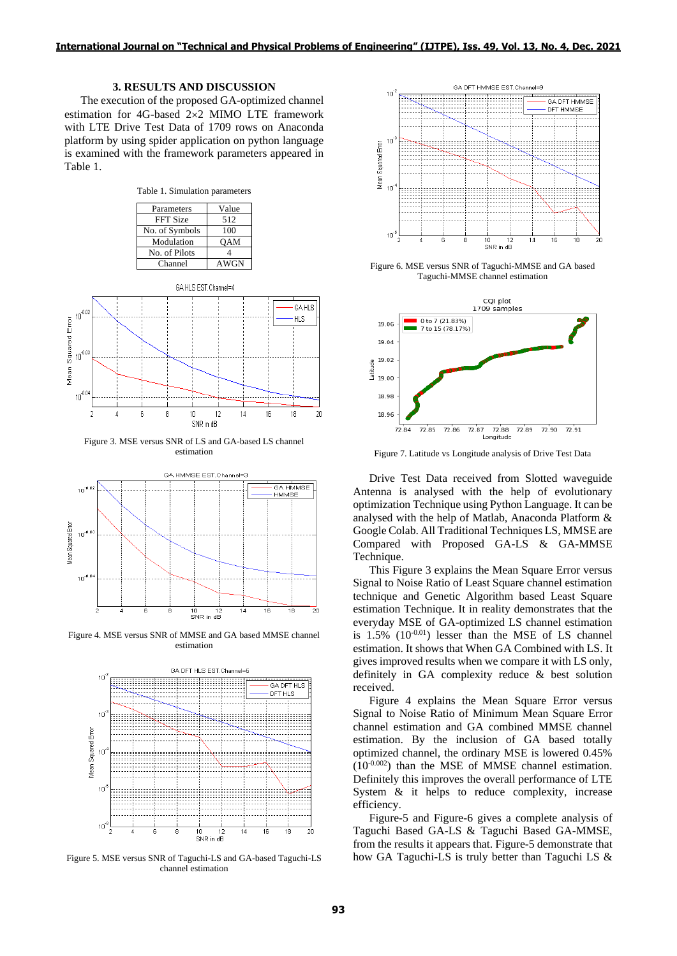## **3. RESULTS AND DISCUSSION**

The execution of the proposed GA-optimized channel estimation for 4G-based 2×2 MIMO LTE framework with LTE Drive Test Data of 1709 rows on Anaconda platform by using spider application on python language is examined with the framework parameters appeared in Table 1.

Table 1. Simulation parameters

| Parameters      | Value      |
|-----------------|------------|
| <b>FFT Size</b> | 512        |
| No. of Symbols  | 100        |
| Modulation      | <b>OAM</b> |
| No. of Pilots   |            |
| Channel         | AWGN       |

GA HLS EST.Channel=4



Figure 3. MSE versus SNR of LS and GA-based LS channel estimation



Figure 4. MSE versus SNR of MMSE and GA based MMSE channel estimation



Figure 5. MSE versus SNR of Taguchi-LS and GA-based Taguchi-LS channel estimation



Figure 6. MSE versus SNR of Taguchi-MMSE and GA based Taguchi-MMSE channel estimation



Figure 7. Latitude vs Longitude analysis of Drive Test Data

Drive Test Data received from Slotted waveguide Antenna is analysed with the help of evolutionary optimization Technique using Python Language. It can be analysed with the help of Matlab, Anaconda Platform & Google Colab. All Traditional Techniques LS, MMSE are Compared with Proposed GA-LS & GA-MMSE Technique.

This Figure 3 explains the Mean Square Error versus Signal to Noise Ratio of Least Square channel estimation technique and Genetic Algorithm based Least Square estimation Technique. It in reality demonstrates that the everyday MSE of GA-optimized LS channel estimation is  $1.5\%$  ( $10^{-0.01}$ ) lesser than the MSE of LS channel estimation. It shows that When GA Combined with LS. It gives improved results when we compare it with LS only, definitely in GA complexity reduce & best solution received.

Figure 4 explains the Mean Square Error versus Signal to Noise Ratio of Minimum Mean Square Error channel estimation and GA combined MMSE channel estimation. By the inclusion of GA based totally optimized channel, the ordinary MSE is lowered 0.45%  $(10^{-0.002})$  than the MSE of MMSE channel estimation. Definitely this improves the overall performance of LTE System & it helps to reduce complexity, increase efficiency.

Figure-5 and Figure-6 gives a complete analysis of Taguchi Based GA-LS & Taguchi Based GA-MMSE, from the results it appears that. Figure-5 demonstrate that how GA Taguchi-LS is truly better than Taguchi LS &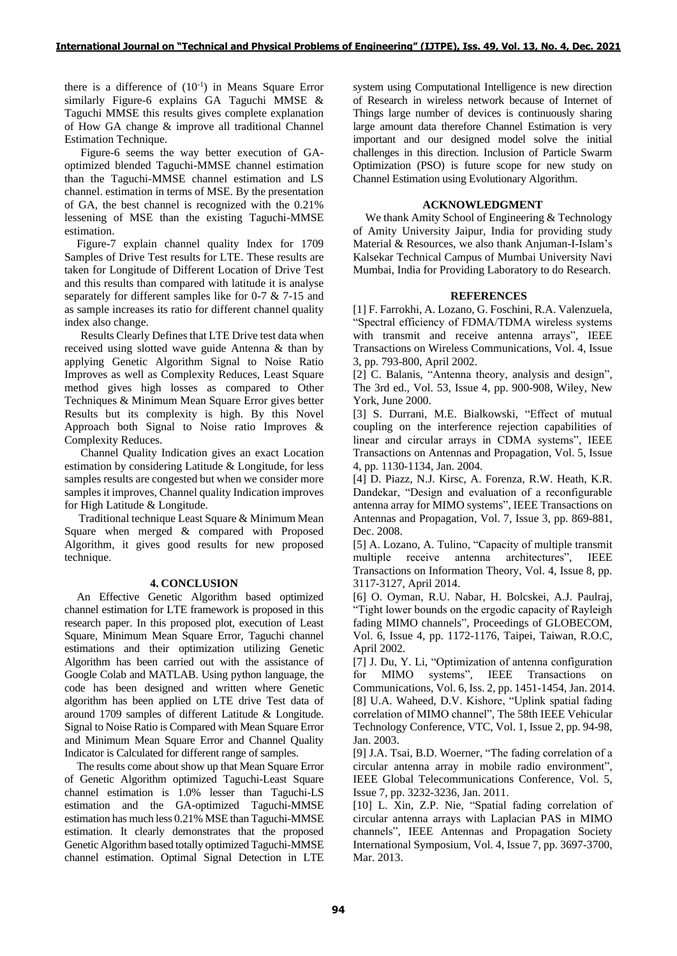there is a difference of  $(10^{-1})$  in Means Square Error similarly Figure-6 explains GA Taguchi MMSE & Taguchi MMSE this results gives complete explanation of How GA change & improve all traditional Channel Estimation Technique.

Figure-6 seems the way better execution of GAoptimized blended Taguchi-MMSE channel estimation than the Taguchi-MMSE channel estimation and LS channel. estimation in terms of MSE. By the presentation of GA, the best channel is recognized with the 0.21% lessening of MSE than the existing Taguchi-MMSE estimation.

Figure-7 explain channel quality Index for 1709 Samples of Drive Test results for LTE. These results are taken for Longitude of Different Location of Drive Test and this results than compared with latitude it is analyse separately for different samples like for 0-7 & 7-15 and as sample increases its ratio for different channel quality index also change.

Results Clearly Defines that LTE Drive test data when received using slotted wave guide Antenna & than by applying Genetic Algorithm Signal to Noise Ratio Improves as well as Complexity Reduces, Least Square method gives high losses as compared to Other Techniques & Minimum Mean Square Error gives better Results but its complexity is high. By this Novel Approach both Signal to Noise ratio Improves & Complexity Reduces.

Channel Quality Indication gives an exact Location estimation by considering Latitude & Longitude, for less samples results are congested but when we consider more samples it improves, Channel quality Indication improves for High Latitude & Longitude.

 Traditional technique Least Square & Minimum Mean Square when merged & compared with Proposed Algorithm, it gives good results for new proposed technique.

## **4. CONCLUSION**

An Effective Genetic Algorithm based optimized channel estimation for LTE framework is proposed in this research paper. In this proposed plot, execution of Least Square, Minimum Mean Square Error, Taguchi channel estimations and their optimization utilizing Genetic Algorithm has been carried out with the assistance of Google Colab and MATLAB. Using python language, the code has been designed and written where Genetic algorithm has been applied on LTE drive Test data of around 1709 samples of different Latitude & Longitude. Signal to Noise Ratio is Compared with Mean Square Error and Minimum Mean Square Error and Channel Quality Indicator is Calculated for different range of samples.

The results come about show up that Mean Square Error of Genetic Algorithm optimized Taguchi-Least Square channel estimation is 1.0% lesser than Taguchi-LS estimation and the GA-optimized Taguchi-MMSE estimation has much less 0.21% MSE than Taguchi-MMSE estimation. It clearly demonstrates that the proposed Genetic Algorithm based totally optimized Taguchi-MMSE channel estimation. Optimal Signal Detection in LTE

system using Computational Intelligence is new direction of Research in wireless network because of Internet of Things large number of devices is continuously sharing large amount data therefore Channel Estimation is very important and our designed model solve the initial challenges in this direction. Inclusion of Particle Swarm Optimization (PSO) is future scope for new study on Channel Estimation using Evolutionary Algorithm.

## **ACKNOWLEDGMENT**

We thank Amity School of Engineering & Technology of Amity University Jaipur, India for providing study Material & Resources, we also thank Anjuman-I-Islam's Kalsekar Technical Campus of Mumbai University Navi Mumbai, India for Providing Laboratory to do Research.

# **REFERENCES**

[1] F. Farrokhi, A. Lozano, G. Foschini, R.A. Valenzuela, "Spectral efficiency of FDMA/TDMA wireless systems with transmit and receive antenna arrays", IEEE Transactions on Wireless Communications, Vol. 4, Issue 3, pp. 793-800, April 2002.

[2] C. Balanis, "Antenna theory, analysis and design", The 3rd ed., Vol. 53, Issue 4, pp. 900-908, Wiley, New York, June 2000.

[3] S. Durrani, M.E. Bialkowski, "Effect of mutual coupling on the interference rejection capabilities of linear and circular arrays in CDMA systems", IEEE Transactions on Antennas and Propagation, Vol. 5, Issue 4, pp. 1130-1134, Jan. 2004.

[4] D. Piazz, N.J. Kirsc, A. Forenza, R.W. Heath, K.R. Dandekar, "Design and evaluation of a reconfigurable antenna array for MIMO systems", IEEE Transactions on Antennas and Propagation, Vol. 7, Issue 3, pp. 869-881, Dec. 2008.

[5] A. Lozano, A. Tulino, "Capacity of multiple transmit multiple receive antenna architectures", IEEE Transactions on Information Theory, Vol. 4, Issue 8, pp. 3117-3127, April 2014.

[6] O. Oyman, R.U. Nabar, H. Bolcskei, A.J. Paulraj, "Tight lower bounds on the ergodic capacity of Rayleigh fading MIMO channels", Proceedings of GLOBECOM, Vol. 6, Issue 4, pp. 1172-1176, Taipei, Taiwan, R.O.C, April 2002.

[7] J. Du, Y. Li, "Optimization of antenna configuration for MIMO systems", IEEE Transactions Communications, Vol. 6, Iss. 2, pp. 1451-1454, Jan. 2014. [8] U.A. Waheed, D.V. Kishore, "Uplink spatial fading correlation of MIMO channel", The 58th IEEE Vehicular Technology Conference, VTC, Vol. 1, Issue 2, pp. 94-98, Jan. 2003.

[9] J.A. Tsai, B.D. Woerner, "The fading correlation of a circular antenna array in mobile radio environment", IEEE Global Telecommunications Conference, Vol. 5, Issue 7, pp. 3232-3236, Jan. 2011.

[10] L. Xin, Z.P. Nie, "Spatial fading correlation of circular antenna arrays with Laplacian PAS in MIMO channels", IEEE Antennas and Propagation Society International Symposium, Vol. 4, Issue 7, pp. 3697-3700, Mar. 2013.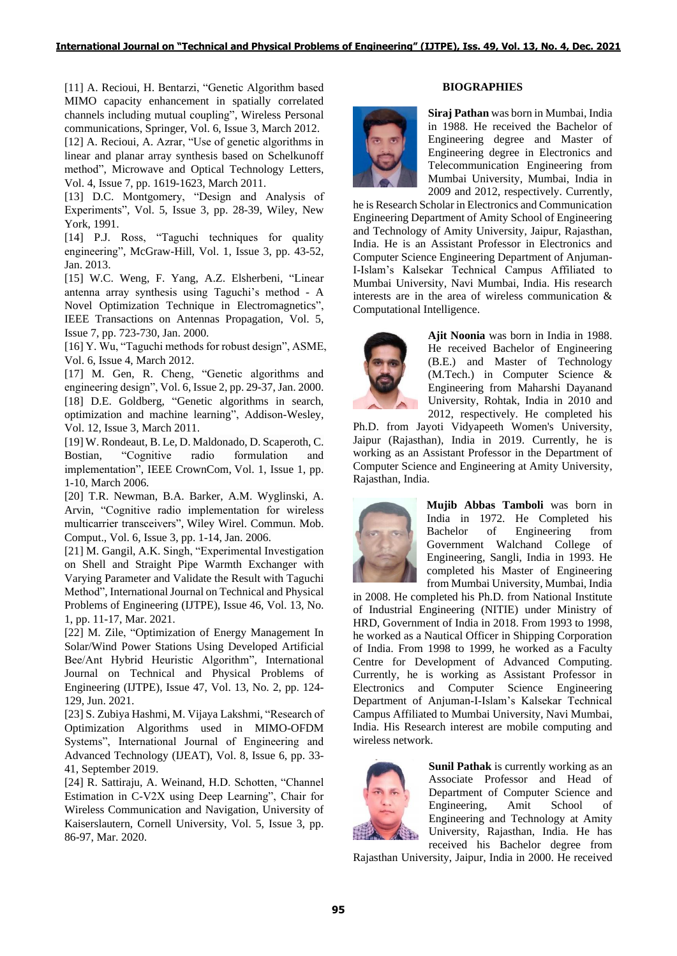[11] A. Recioui, H. Bentarzi, "Genetic Algorithm based MIMO capacity enhancement in spatially correlated channels including mutual coupling", Wireless Personal communications, Springer, Vol. 6, Issue 3, March 2012.

[12] A. Recioui, A. Azrar, "Use of genetic algorithms in linear and planar array synthesis based on Schelkunoff method", Microwave and Optical Technology Letters, Vol. 4, Issue 7, pp. 1619-1623, March 2011.

[13] D.C. Montgomery, "Design and Analysis of Experiments", Vol. 5, Issue 3, pp. 28-39, Wiley, New York, 1991.

[14] P.J. Ross, "Taguchi techniques for quality engineering", McGraw-Hill, Vol. 1, Issue 3, pp. 43-52, Jan. 2013.

[15] W.C. Weng, F. Yang, A.Z. Elsherbeni, "Linear antenna array synthesis using Taguchi's method - A Novel Optimization Technique in Electromagnetics", IEEE Transactions on Antennas Propagation, Vol. 5, Issue 7, pp. 723-730, Jan. 2000.

[16] Y. Wu, "Taguchi methods for robust design", ASME, Vol. 6, Issue 4, March 2012.

[17] M. Gen, R. Cheng, "Genetic algorithms and engineering design", Vol. 6, Issue 2, pp. 29-37, Jan. 2000. [18] D.E. Goldberg, "Genetic algorithms in search, optimization and machine learning", Addison-Wesley, Vol. 12, Issue 3, March 2011.

[19] W. Rondeaut, B. Le, D. Maldonado, D. Scaperoth, C. Bostian, "Cognitive radio formulation and implementation", IEEE CrownCom, Vol. 1, Issue 1, pp. 1-10, March 2006.

[20] T.R. Newman, B.A. Barker, A.M. Wyglinski, A. Arvin, "Cognitive radio implementation for wireless multicarrier transceivers", Wiley Wirel. Commun. Mob. Comput., Vol. 6, Issue 3, pp. 1-14, Jan. 2006.

[21] M. Gangil, A.K. Singh, "Experimental Investigation on Shell and Straight Pipe Warmth Exchanger with Varying Parameter and Validate the Result with Taguchi Method", International Journal on Technical and Physical Problems of Engineering (IJTPE), Issue 46, Vol. 13, No. 1, pp. 11-17, Mar. 2021.

[22] M. Zile, "Optimization of Energy Management In Solar/Wind Power Stations Using Developed Artificial Bee/Ant Hybrid Heuristic Algorithm", International Journal on Technical and Physical Problems of Engineering (IJTPE), Issue 47, Vol. 13, No. 2, pp. 124- 129, Jun. 2021.

[23] S. Zubiya Hashmi, M. Vijaya Lakshmi, "Research of Optimization Algorithms used in MIMO-OFDM Systems", International Journal of Engineering and Advanced Technology (IJEAT), Vol. 8, Issue 6, pp. 33- 41, September 2019.

[24] R. Sattiraju, A. Weinand, H.D. Schotten, "Channel Estimation in C-V2X using Deep Learning", Chair for Wireless Communication and Navigation, University of Kaiserslautern, Cornell University, Vol. 5, Issue 3, pp. 86-97, Mar. 2020.

# **BIOGRAPHIES**



**Siraj Pathan** was born in Mumbai, India in 1988. He received the Bachelor of Engineering degree and Master of Engineering degree in Electronics and Telecommunication Engineering from Mumbai University, Mumbai, India in 2009 and 2012, respectively. Currently,

he is Research Scholar in Electronics and Communication Engineering Department of Amity School of Engineering and Technology of Amity University, Jaipur, Rajasthan, India. He is an Assistant Professor in Electronics and Computer Science Engineering Department of Anjuman-I-Islam's Kalsekar Technical Campus Affiliated to Mumbai University, Navi Mumbai, India. His research interests are in the area of wireless communication & Computational Intelligence.



**Ajit Noonia** was born in India in 1988. He received Bachelor of Engineering (B.E.) and Master of Technology (M.Tech.) in Computer Science & Engineering from Maharshi Dayanand University, Rohtak, India in 2010 and 2012, respectively. He completed his

Ph.D. from Jayoti Vidyapeeth Women's University, Jaipur (Rajasthan), India in 2019. Currently, he is working as an Assistant Professor in the Department of Computer Science and Engineering at Amity University, Rajasthan, India.



**Mujib Abbas Tamboli** was born in India in 1972. He Completed his Bachelor of Engineering from Government Walchand College of Engineering, Sangli, India in 1993. He completed his Master of Engineering from Mumbai University, Mumbai, India

in 2008. He completed his Ph.D. from National Institute of Industrial Engineering (NITIE) under Ministry of HRD, Government of India in 2018. From 1993 to 1998, he worked as a Nautical Officer in Shipping Corporation of India. From 1998 to 1999, he worked as a Faculty Centre for Development of Advanced Computing. Currently, he is working as Assistant Professor in Electronics and Computer Science Engineering Department of Anjuman-I-Islam's Kalsekar Technical Campus Affiliated to Mumbai University, Navi Mumbai, India. His Research interest are mobile computing and wireless network.



**Sunil Pathak** is currently working as an Associate Professor and Head of Department of Computer Science and Engineering, Amit School of Engineering and Technology at Amity University, Rajasthan, India. He has received his Bachelor degree from

Rajasthan University, Jaipur, India in 2000. He received